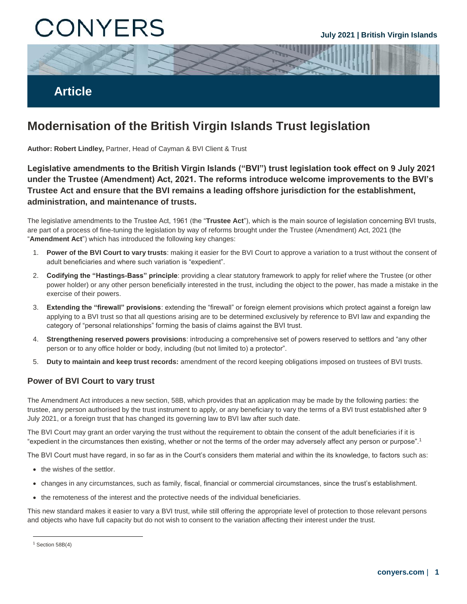# ONYERS

### **Article**

## **Modernisation of the British Virgin Islands Trust legislation**

**Author: Robert Lindley,** Partner, Head of Cayman & BVI Client & Trust

**Legislative amendments to the British Virgin Islands ("BVI") trust legislation took effect on 9 July 2021 under the Trustee (Amendment) Act, 2021. The reforms introduce welcome improvements to the BVI's Trustee Act and ensure that the BVI remains a leading offshore jurisdiction for the establishment, administration, and maintenance of trusts.**

The legislative amendments to the Trustee Act, 1961 (the "**Trustee Act**"), which is the main source of legislation concerning BVI trusts, are part of a process of fine-tuning the legislation by way of reforms brought under the Trustee (Amendment) Act, 2021 (the "**Amendment Act**") which has introduced the following key changes:

- 1. **Power of the BVI Court to vary trusts**: making it easier for the BVI Court to approve a variation to a trust without the consent of adult beneficiaries and where such variation is "expedient".
- 2. **Codifying the "Hastings-Bass" principle**: providing a clear statutory framework to apply for relief where the Trustee (or other power holder) or any other person beneficially interested in the trust, including the object to the power, has made a mistake in the exercise of their powers.
- 3. **Extending the "firewall" provisions**: extending the "firewall" or foreign element provisions which protect against a foreign law applying to a BVI trust so that all questions arising are to be determined exclusively by reference to BVI law and expanding the category of "personal relationships" forming the basis of claims against the BVI trust.
- 4. **Strengthening reserved powers provisions**: introducing a comprehensive set of powers reserved to settlors and "any other person or to any office holder or body, including (but not limited to) a protector".
- 5. **Duty to maintain and keep trust records:** amendment of the record keeping obligations imposed on trustees of BVI trusts.

#### **Power of BVI Court to vary trust**

The Amendment Act introduces a new section, 58B, which provides that an application may be made by the following parties: the trustee, any person authorised by the trust instrument to apply, or any beneficiary to vary the terms of a BVI trust established after 9 July 2021, or a foreign trust that has changed its governing law to BVI law after such date.

The BVI Court may grant an order varying the trust without the requirement to obtain the consent of the adult beneficiaries if it is "expedient in the circumstances then existing, whether or not the terms of the order may adversely affect any person or purpose".<sup>1</sup>

The BVI Court must have regard, in so far as in the Court's considers them material and within the its knowledge, to factors such as:

- the wishes of the settlor.
- changes in any circumstances, such as family, fiscal, financial or commercial circumstances, since the trust's establishment.
- the remoteness of the interest and the protective needs of the individual beneficiaries.

This new standard makes it easier to vary a BVI trust, while still offering the appropriate level of protection to those relevant persons and objects who have full capacity but do not wish to consent to the variation affecting their interest under the trust.

 $1$  Section 58B(4)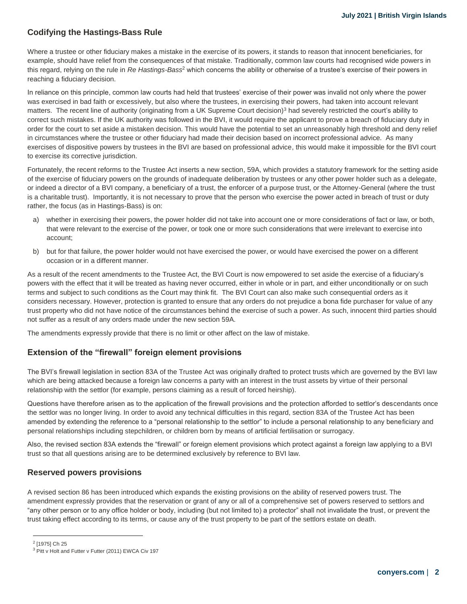#### **Codifying the Hastings-Bass Rule**

Where a trustee or other fiduciary makes a mistake in the exercise of its powers, it stands to reason that innocent beneficiaries, for example, should have relief from the consequences of that mistake. Traditionally, common law courts had recognised wide powers in this regard, relying on the rule in *Re Hastings-Bass*<sup>2</sup> which concerns the ability or otherwise of a trustee's exercise of their powers in reaching a fiduciary decision.

In reliance on this principle, common law courts had held that trustees' exercise of their power was invalid not only where the power was exercised in bad faith or excessively, but also where the trustees, in exercising their powers, had taken into account relevant matters. The recent line of authority (originating from a UK Supreme Court decision)<sup>3</sup> had severely restricted the court's ability to correct such mistakes. If the UK authority was followed in the BVI, it would require the applicant to prove a breach of fiduciary duty in order for the court to set aside a mistaken decision. This would have the potential to set an unreasonably high threshold and deny relief in circumstances where the trustee or other fiduciary had made their decision based on incorrect professional advice. As many exercises of dispositive powers by trustees in the BVI are based on professional advice, this would make it impossible for the BVI court to exercise its corrective jurisdiction.

Fortunately, the recent reforms to the Trustee Act inserts a new section, 59A, which provides a statutory framework for the setting aside of the exercise of fiduciary powers on the grounds of inadequate deliberation by trustees or any other power holder such as a delegate, or indeed a director of a BVI company, a beneficiary of a trust, the enforcer of a purpose trust, or the Attorney-General (where the trust is a charitable trust). Importantly, it is not necessary to prove that the person who exercise the power acted in breach of trust or duty rather, the focus (as in Hastings-Bass) is on:

- a) whether in exercising their powers, the power holder did not take into account one or more considerations of fact or law, or both, that were relevant to the exercise of the power, or took one or more such considerations that were irrelevant to exercise into account;
- b) but for that failure, the power holder would not have exercised the power, or would have exercised the power on a different occasion or in a different manner.

As a result of the recent amendments to the Trustee Act, the BVI Court is now empowered to set aside the exercise of a fiduciary's powers with the effect that it will be treated as having never occurred, either in whole or in part, and either unconditionally or on such terms and subject to such conditions as the Court may think fit. The BVI Court can also make such consequential orders as it considers necessary. However, protection is granted to ensure that any orders do not prejudice a bona fide purchaser for value of any trust property who did not have notice of the circumstances behind the exercise of such a power. As such, innocent third parties should not suffer as a result of any orders made under the new section 59A.

The amendments expressly provide that there is no limit or other affect on the law of mistake.

#### **Extension of the "firewall" foreign element provisions**

The BVI's firewall legislation in section 83A of the Trustee Act was originally drafted to protect trusts which are governed by the BVI law which are being attacked because a foreign law concerns a party with an interest in the trust assets by virtue of their personal relationship with the settlor (for example, persons claiming as a result of forced heirship).

Questions have therefore arisen as to the application of the firewall provisions and the protection afforded to settlor's descendants once the settlor was no longer living. In order to avoid any technical difficulties in this regard, section 83A of the Trustee Act has been amended by extending the reference to a "personal relationship to the settlor" to include a personal relationship to any beneficiary and personal relationships including stepchildren, or children born by means of artificial fertilisation or surrogacy.

Also, the revised section 83A extends the "firewall" or foreign element provisions which protect against a foreign law applying to a BVI trust so that all questions arising are to be determined exclusively by reference to BVI law.

#### **Reserved powers provisions**

A revised section 86 has been introduced which expands the existing provisions on the ability of reserved powers trust. The amendment expressly provides that the reservation or grant of any or all of a comprehensive set of powers reserved to settlors and "any other person or to any office holder or body, including (but not limited to) a protector" shall not invalidate the trust, or prevent the trust taking effect according to its terms, or cause any of the trust property to be part of the settlors estate on death.

<sup>&</sup>lt;sup>2</sup> [1975] Ch 25

<sup>&</sup>lt;sup>3</sup> Pitt v Holt and Futter v Futter (2011) EWCA Civ 197